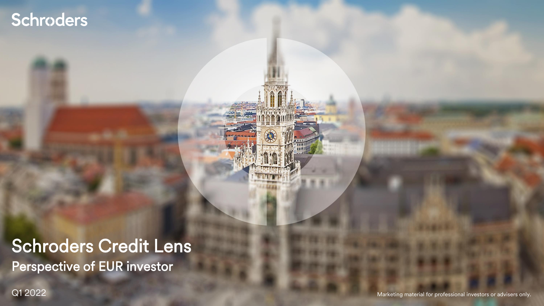## Schroders

## Perspective of EUR investor Schroders Credit Lens

Q1 2022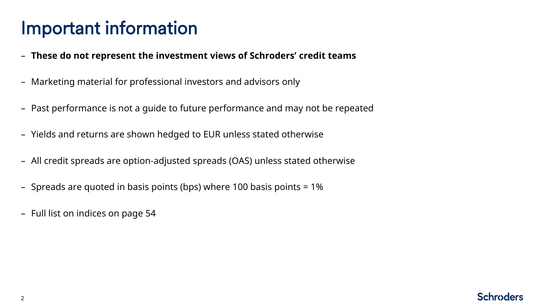## Important information

- **These do not represent the investment views of Schroders' credit teams**
- Marketing material for professional investors and advisors only
- Past performance is not a guide to future performance and may not be repeated
- Yields and returns are shown hedged to EUR unless stated otherwise
- All credit spreads are option-adjusted spreads (OAS) unless stated otherwise
- Spreads are quoted in basis points (bps) where 100 basis points = 1%
- Full list on indices on page 54

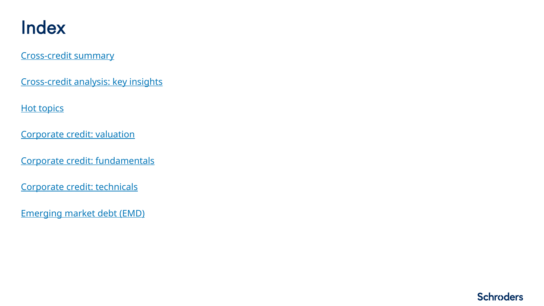## Index

[Cross-credit summary](#page-3-0)

[Cross-credit analysis: key insights](#page-7-0)

**[Hot topics](#page-14-0)** 

[Corporate credit: valuation](#page-21-0)

[Corporate credit: fundamentals](#page-24-0)

[Corporate credit: technicals](#page-36-0)

[Emerging market debt \(EMD\)](#page-45-0)

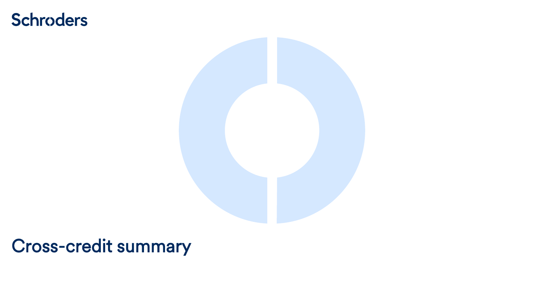## <span id="page-3-0"></span>**Schroders**



## Cross-credit summary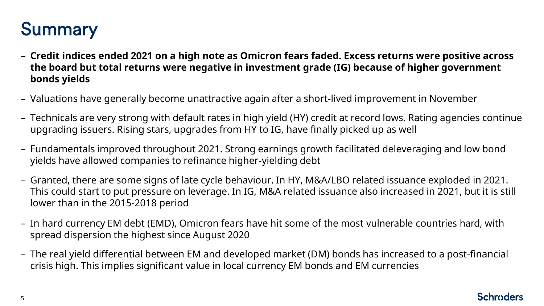## Summary

- **Credit indices ended 2021 on a high note as Omicron fears faded. Excess returns were positive across the board but total returns were negative in investment grade (IG) because of higher government bonds yields**
- Valuations have generally become unattractive again after a short-lived improvement in November
- Technicals are very strong with default rates in high yield (HY) credit at record lows. Rating agencies continue upgrading issuers. Rising stars, upgrades from HY to IG, have finally picked up as well
- Fundamentals improved throughout 2021. Strong earnings growth facilitated deleveraging and low bond yields have allowed companies to refinance higher-yielding debt
- Granted, there are some signs of late cycle behaviour. In HY, M&A/LBO related issuance exploded in 2021. This could start to put pressure on leverage. In IG, M&A related issuance also increased in 2021, but it is still lower than in the 2015-2018 period
- In hard currency EM debt (EMD), Omicron fears have hit some of the most vulnerable countries hard, with spread dispersion the highest since August 2020
- The real yield differential between EM and developed market (DM) bonds has increased to a post-financial crisis high. This implies significant value in local currency EM bonds and EM currencies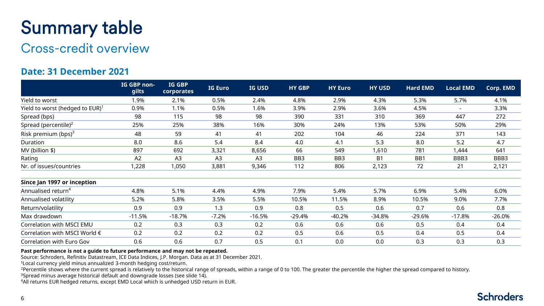## Summary table

## Cross-credit overview

### **Date: 31 December 2021**

|                                                | IG GBP non-<br>gilts | <b>IG GBP</b><br>corporates | <b>IG Euro</b> | IG USD         | <b>HY GBP</b>   | <b>HY Euro</b>  | <b>HY USD</b>  | <b>Hard EMD</b> | <b>Local EMD</b> | Corp. EMD |
|------------------------------------------------|----------------------|-----------------------------|----------------|----------------|-----------------|-----------------|----------------|-----------------|------------------|-----------|
| Yield to worst                                 | 1.9%                 | 2.1%                        | 0.5%           | 2.4%           | 4.8%            | 2.9%            | 4.3%           | 5.3%            | 5.7%             | 4.1%      |
| Yield to worst (hedged to $EUR$ ) <sup>1</sup> | 0.9%                 | 1.1%                        | 0.5%           | 1.6%           | 3.9%            | 2.9%            | 3.6%           | 4.5%            |                  | 3.3%      |
| Spread (bps)                                   | 98                   | 115                         | 98             | 98             | 390             | 331             | 310            | 369             | 447              | 272       |
| Spread (percentile) <sup>2</sup>               | 25%                  | 25%                         | 38%            | 16%            | 30%             | 24%             | 13%            | 53%             | 50%              | 29%       |
| Risk premium (bps) $3$                         | 48                   | 59                          | 41             | 41             | 202             | 104             | 46             | 224             | 371              | 143       |
| Duration                                       | 8.0                  | 8.6                         | 5.4            | 8.4            | 4.0             | 4.1             | 5.3            | 8.0             | 5.2              | 4.7       |
| MV (billion \$)                                | 897                  | 692                         | 3,321          | 8,656          | 66              | 549             | 1,610          | 781             | 1,444            | 641       |
| Rating                                         | A2                   | A <sub>3</sub>              | A <sub>3</sub> | A <sub>3</sub> | BB <sub>3</sub> | BB <sub>3</sub> | B <sub>1</sub> | BB1             | BBB3             | BBB3      |
| Nr. of issues/countries                        | 1,228                | 1,050                       | 3,881          | 9,346          | 112             | 806             | 2,123          | 72              | 21               | 2,121     |
| Since Jan 1997 or inception                    |                      |                             |                |                |                 |                 |                |                 |                  |           |
| Annualised return <sup>4</sup>                 | 4.8%                 | 5.1%                        | 4.4%           | 4.9%           | 7.9%            | 5.4%            | 5.7%           | 6.9%            | 5.4%             | 6.0%      |
| Annualised volatility                          | 5.2%                 | 5.8%                        | 3.5%           | 5.5%           | 10.5%           | 11.5%           | 8.9%           | 10.5%           | 9.0%             | 7.7%      |
| Return/volatility                              | 0.9                  | 0.9                         | 1.3            | 0.9            | 0.8             | 0.5             | 0.6            | 0.7             | 0.6              | 0.8       |
| Max drawdown                                   | $-11.5%$             | $-18.7%$                    | $-7.2%$        | $-16.5%$       | $-29.4%$        | $-40.2%$        | $-34.8%$       | $-29.6%$        | $-17.8%$         | $-26.0%$  |
| Correlation with MSCI EMU                      | 0.2                  | 0.3                         | 0.3            | 0.2            | 0.6             | 0.6             | 0.6            | 0.5             | 0.4              | 0.4       |
| Correlation with MSCI World €                  | 0.2                  | 0.2                         | 0.2            | 0.2            | 0.5             | 0.6             | 0.5            | 0.4             | 0.5              | 0.4       |
| Correlation with Euro Gov                      | 0.6                  | 0.6                         | 0.7            | 0.5            | 0.1             | 0.0             | 0.0            | 0.3             | 0.3              | 0.3       |

#### **Past performance is not a guide to future performance and may not be repeated.**

Source: Schroders, Refinitiv Datastream, ICE Data Indices, J.P. Morgan. Data as at 31 December 2021.

<sup>1</sup>Local currency yield minus annualized 3-month hedging cost/return.

<sup>2</sup>Percentile shows where the current spread is relatively to the historical range of spreads, within a range of 0 to 100. The greater the percentile the higher the spread compared to history.

<sup>3</sup>Spread minus average historical default and downgrade losses (see slide 14).

<sup>4</sup>All returns EUR hedged returns, except EMD Local which is unhedged USD return in EUR.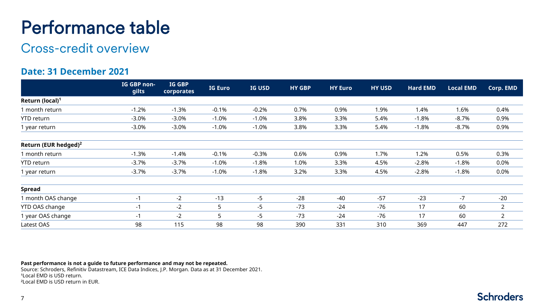## Performance table

## Cross-credit overview

### **Date: 31 December 2021**

|                             | IG GBP non-<br>gilts | <b>IG GBP</b><br>corporates | <b>IG Euro</b>  | <b>IG USD</b> | <b>HY GBP</b> | <b>HY Euro</b> | <b>HY USD</b> | <b>Hard EMD</b> | <b>Local EMD</b> | Corp. EMD      |
|-----------------------------|----------------------|-----------------------------|-----------------|---------------|---------------|----------------|---------------|-----------------|------------------|----------------|
| Return (local) <sup>1</sup> |                      |                             |                 |               |               |                |               |                 |                  |                |
| I month return              | $-1.2%$              | $-1.3%$                     | $-0.1%$         | $-0.2%$       | 0.7%          | 0.9%           | 1.9%          | 1.4%            | 1.6%             | 0.4%           |
| YTD return                  | $-3.0%$              | $-3.0%$                     | $-1.0%$         | $-1.0%$       | 3.8%          | 3.3%           | 5.4%          | $-1.8%$         | $-8.7%$          | 0.9%           |
| 1 year return               | $-3.0%$              | $-3.0%$                     | $-1.0%$         | $-1.0%$       | 3.8%          | 3.3%           | 5.4%          | $-1.8%$         | $-8.7%$          | 0.9%           |
| Return (EUR hedged) $^2$    |                      |                             |                 |               |               |                |               |                 |                  |                |
| 1 month return              | $-1.3%$              | $-1.4%$                     | $-0.1%$         | $-0.3%$       | 0.6%          | 0.9%           | 1.7%          | 1.2%            | 0.5%             | 0.3%           |
| YTD return                  | $-3.7%$              | $-3.7%$                     | $-1.0%$         | $-1.8%$       | 1.0%          | 3.3%           | 4.5%          | $-2.8%$         | $-1.8%$          | 0.0%           |
| 1 year return               | $-3.7%$              | $-3.7%$                     | $-1.0%$         | $-1.8%$       | 3.2%          | 3.3%           | 4.5%          | $-2.8%$         | $-1.8%$          | 0.0%           |
| <b>Spread</b>               |                      |                             |                 |               |               |                |               |                 |                  |                |
| 1 month OAS change          | $-1$                 | $-2$                        | $-13$           | $-5$          | $-28$         | $-40$          | $-57$         | $-23$           | $-7$             | $-20$          |
| YTD OAS change              | -1                   | $-2$                        | $5\overline{)}$ | -5            | $-73$         | $-24$          | $-76$         | 17              | 60               | $\overline{2}$ |
| 1 year OAS change           | -1                   | $-2$                        | 5               | -5            | $-73$         | $-24$          | $-76$         | 17              | 60               | $\overline{2}$ |
| Latest OAS                  | 98                   | 115                         | 98              | 98            | 390           | 331            | 310           | 369             | 447              | 272            |

#### **Past performance is not a guide to future performance and may not be repeated.**

Source: Schroders, Refinitiv Datastream, ICE Data Indices, J.P. Morgan. Data as at 31 December 2021. <sup>1</sup>Local EMD is USD return. ²Local EMD is USD return in EUR.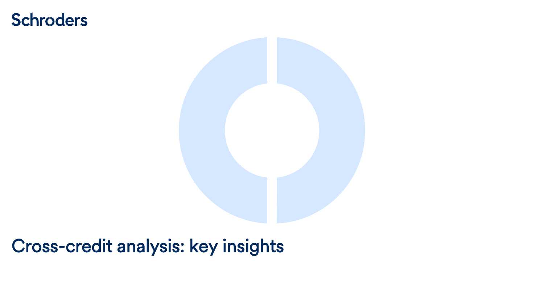## <span id="page-7-0"></span>**Schroders**



## Cross-credit analysis: key insights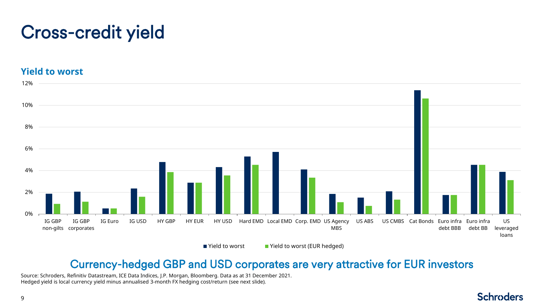## Cross-credit yield

#### **Yield to worst**



■ Yield to worst ■ Yield to worst (EUR hedged)

## Currency-hedged GBP and USD corporates are very attractive for EUR investors

Source: Schroders, Refinitiv Datastream, ICE Data Indices, J.P. Morgan, Bloomberg. Data as at 31 December 2021. Hedged yield is local currency yield minus annualised 3-month FX hedging cost/return (see next slide).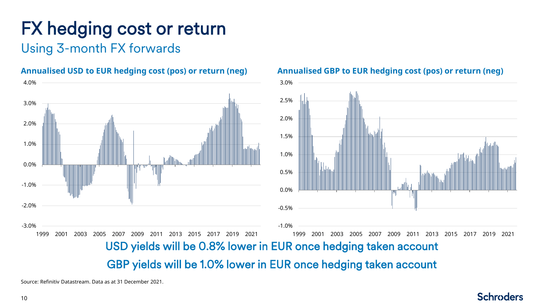# FX hedging cost or return

**Annualised USD to EUR hedging cost (pos) or return (neg)** 

## Using 3-month FX forwards



#### **Annualised GBP to EUR hedging cost (pos) or return (neg)**

**Schroders** 

Source: Refinitiv Datastream. Data as at 31 December 2021.

#### 10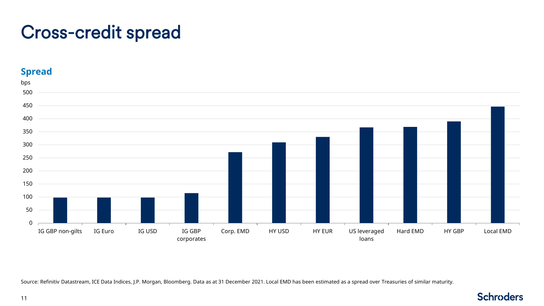## Cross-credit spread

#### **Spread** 0 50 100 150 200 250 300 350 400 450 500 IG GBP non-gilts IG Euro IG USD IG GBP corporates Corp. EMD HY USD HY EUR US leveraged loans Hard EMD HY GBP Local EMD bps

Source: Refinitiv Datastream, ICE Data Indices, J.P. Morgan, Bloomberg. Data as at 31 December 2021. Local EMD has been estimated as a spread over Treasuries of similar maturity.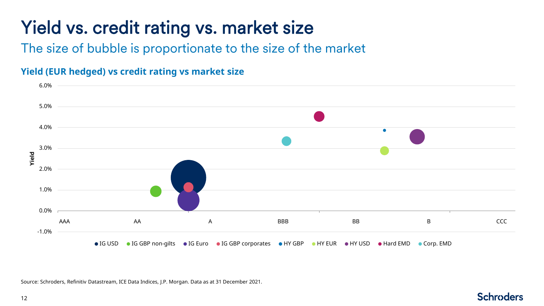# Yield vs. credit rating vs. market size

The size of bubble is proportionate to the size of the market

## **Yield (EUR hedged) vs credit rating vs market size**



**Schroders** 

Source: Schroders, Refinitiv Datastream, ICE Data Indices, J.P. Morgan. Data as at 31 December 2021.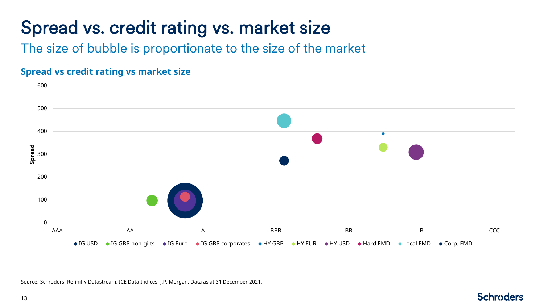## Spread vs. credit rating vs. market size

The size of bubble is proportionate to the size of the market

### **Spread vs credit rating vs market size**



Source: Schroders, Refinitiv Datastream, ICE Data Indices, J.P. Morgan. Data as at 31 December 2021.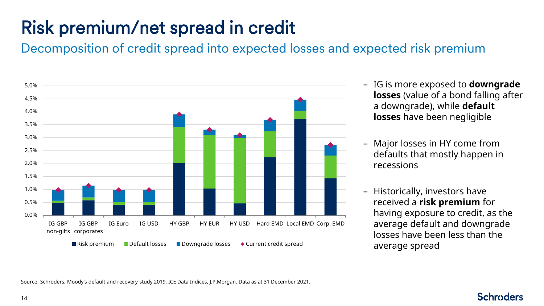# Risk premium/net spread in credit

Decomposition of credit spread into expected losses and expected risk premium



- IG is more exposed to **downgrade losses** (value of a bond falling after a downgrade), while **default losses** have been negligible
- Major losses in HY come from defaults that mostly happen in recessions
- Historically, investors have received a **risk premium** for having exposure to credit, as the average default and downgrade losses have been less than the average spread

Source: Schroders, Moody's default and recovery study 2019, ICE Data Indices, J.P.Morgan. Data as at 31 December 2021.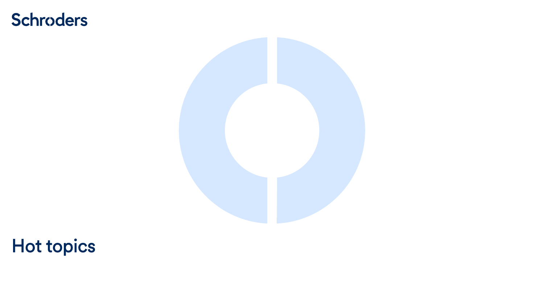## <span id="page-14-0"></span>Schroders



# Hot topics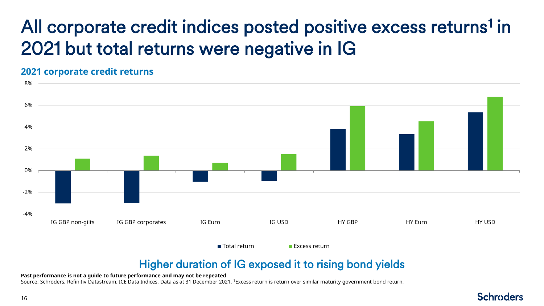# All corporate credit indices posted positive excess returns<sup>1</sup> in 2021 but total returns were negative in IG

### **2021 corporate credit returns**



## Higher duration of IG exposed it to rising bond yields

#### **Past performance is not a guide to future performance and may not be repeated**

Source: Schroders, Refinitiv Datastream, ICE Data Indices. Data as at 31 December 2021. <sup>1</sup>Excess return is return over similar maturity government bond return.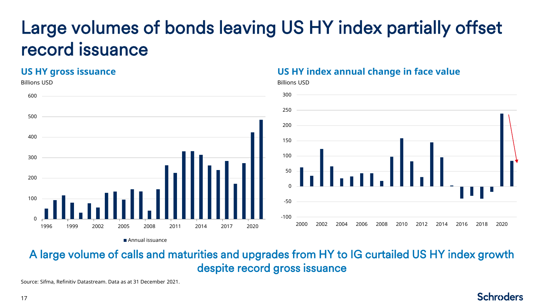## Large volumes of bonds leaving US HY index partially offset record issuance

### **US HY gross issuance**



### **US HY index annual change in face value**

Billions USD



**Schroders** 

## A large volume of calls and maturities and upgrades from HY to IG curtailed US HY index growth despite record gross issuance

Source: Sifma, Refinitiv Datastream. Data as at 31 December 2021.

17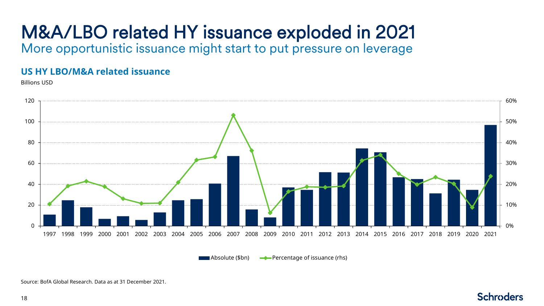# M&A/LBO related HY issuance exploded in 2021

More opportunistic issuance might start to put pressure on leverage

### **US HY LBO/M&A related issuance**

Billions USD



Absolute (\$bn)  $\longrightarrow$  Percentage of issuance (rhs)

#### Source: BofA Global Research. Data as at 31 December 2021.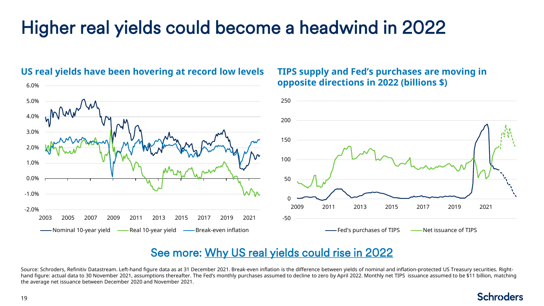## Higher real yields could become a headwind in 2022



#### **US real yields have been hovering at record low levels**

### **TIPS supply and Fed's purchases are moving in opposite directions in 2022 (billions \$)**

## See more: [Why US real yields could rise in 2022](https://www.schroders.com/en/uk/tp/markets2/markets/why-us-real-yields-could-rise-in-2022/)

Source: Schroders, Refinitiv Datastream. Left-hand figure data as at 31 December 2021. Break-even inflation is the difference between yields of nominal and inflation-protected US Treasury securities. Righthand figure: actual data to 30 November 2021, assumptions thereafter. The Fed's monthly purchases assumed to decline to zero by April 2022. Monthly net TIPS issuance assumed to be \$11 billion. matching the average net issuance between December 2020 and November 2021.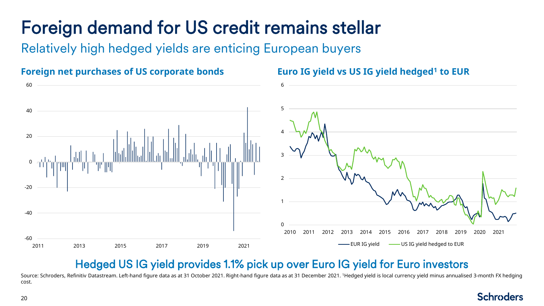# Foreign demand for US credit remains stellar

Relatively high hedged yields are enticing European buyers



### **Euro IG yield vs US IG yield hedged<sup>1</sup> to EUR**

## Hedged US IG yield provides 1.1% pick up over Euro IG yield for Euro investors

Source: Schroders, Refinitiv Datastream. Left-hand figure data as at 31 October 2021. Right-hand figure data as at 31 December 2021. <sup>1</sup>Hedged yield is local currency yield minus annualised 3-month FX hedging cost.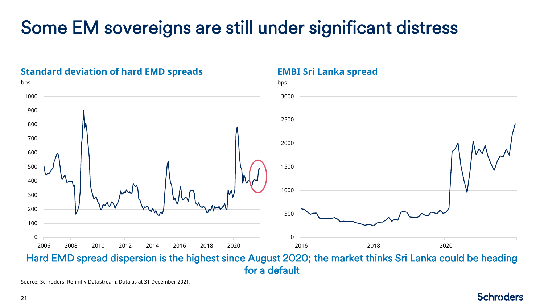## Some EM sovereigns are still under significant distress

#### bps bps W 2008 2010 2012 2014 2016 2018 2020 2018 2020Hard EMD spread dispersion is the highest since August 2020; the market thinks Sri Lanka could be heading

**EMBI Sri Lanka spread**

for a default

**Standard deviation of hard EMD spreads** 

Source: Schroders, Refinitiv Datastream. Data as at 31 December 2021.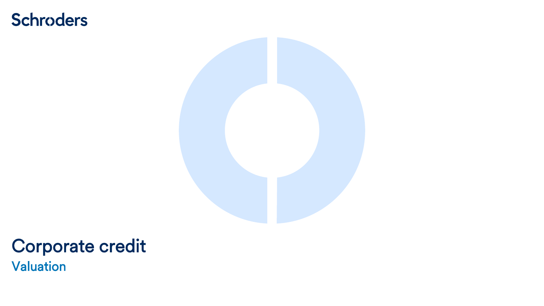## <span id="page-21-0"></span>**Schroders**



## Valuation Corporate credit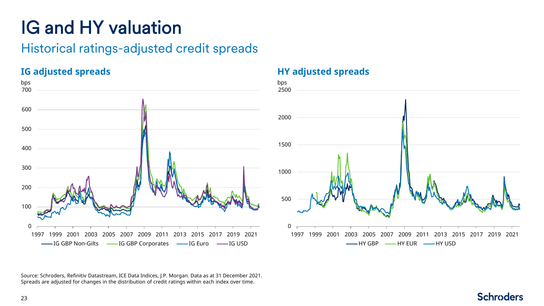# IG and HY valuation

## Historical ratings-adjusted credit spreads

**IG adjusted spreads**



### **HY adjusted spreads**



Source: Schroders, Refinitiv Datastream, ICE Data Indices, J.P. Morgan. Data as at 31 December 2021. Spreads are adjusted for changes in the distribution of credit ratings within each index over time.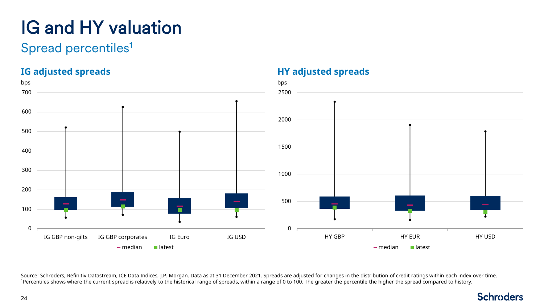# IG and HY valuation

## Spread percentiles<sup>1</sup>

## **IG adjusted spreads**



**HY adjusted spreads**

Source: Schroders, Refinitiv Datastream, ICE Data Indices, J.P. Morgan. Data as at 31 December 2021. Spreads are adjusted for changes in the distribution of credit ratings within each index over time. 1Percentiles shows where the current spread is relatively to the historical range of spreads, within a range of 0 to 100. The greater the percentile the higher the spread compared to history.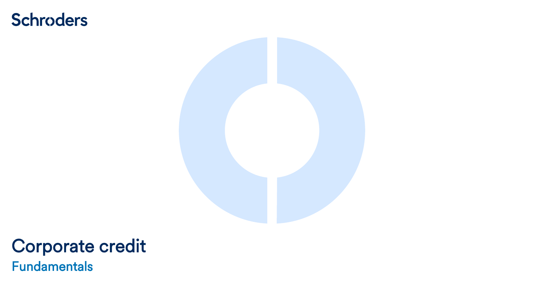## <span id="page-24-0"></span>**Schroders**



# Corporate credit

Fundamentals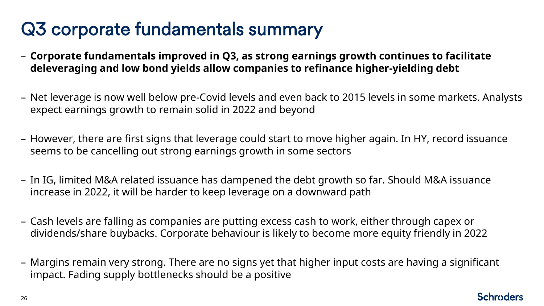## Q3 corporate fundamentals summary

- **Corporate fundamentals improved in Q3, as strong earnings growth continues to facilitate deleveraging and low bond yields allow companies to refinance higher-yielding debt**
- Net leverage is now well below pre-Covid levels and even back to 2015 levels in some markets. Analysts expect earnings growth to remain solid in 2022 and beyond
- However, there are first signs that leverage could start to move higher again. In HY, record issuance seems to be cancelling out strong earnings growth in some sectors
- In IG, limited M&A related issuance has dampened the debt growth so far. Should M&A issuance increase in 2022, it will be harder to keep leverage on a downward path
- Cash levels are falling as companies are putting excess cash to work, either through capex or dividends/share buybacks. Corporate behaviour is likely to become more equity friendly in 2022
- Margins remain very strong. There are no signs yet that higher input costs are having a significant impact. Fading supply bottlenecks should be a positive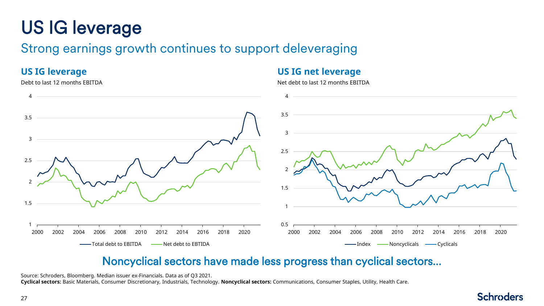# US IG leverage

## Strong earnings growth continues to support deleveraging

### **US IG leverage**

#### Debt to last 12 months EBITDA

### **US IG net leverage**

Net debt to last 12 months EBITDA



## Noncyclical sectors have made less progress than cyclical sectors…

Source: Schroders, Bloomberg. Median issuer ex-Financials. Data as of Q3 2021. **Cyclical sectors:** Basic Materials, Consumer Discretionary, Industrials, Technology. **Noncyclical sectors:** Communications, Consumer Staples, Utility, Health Care.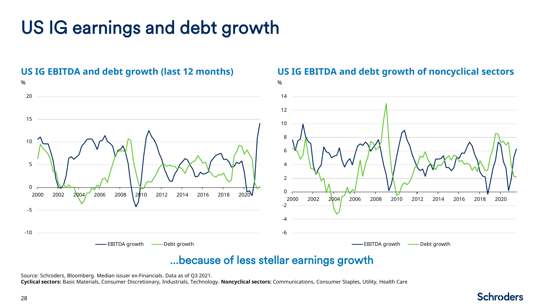## US IG earnings and debt growth



### **US IG EBITDA and debt growth of noncyclical sectors**

## …because of less stellar earnings growth

Source: Schroders, Bloomberg. Median issuer ex-Financials. Data as of Q3 2021.

**Cyclical sectors:** Basic Materials, Consumer Discretionary, Industrials, Technology. **Noncyclical sectors:** Communications, Consumer Staples, Utility, Health Care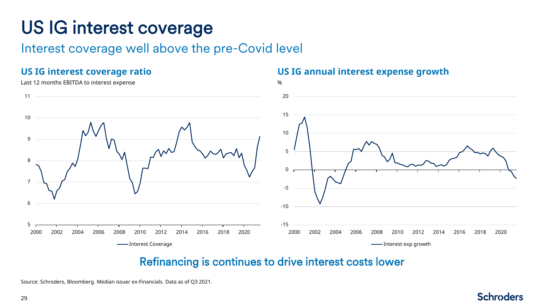## US IG interest coverage

Interest coverage well above the pre-Covid level

### **US IG interest coverage ratio**

#### Last 12 months EBITDA to interest expense



### **US IG annual interest expense growth**



## Refinancing is continues to drive interest costs lower

Source: Schroders, Bloomberg. Median issuer ex-Financials. Data as of Q3 2021.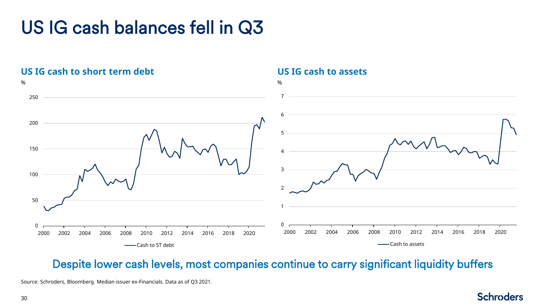## US IG cash balances fell in Q3



Despite lower cash levels, most companies continue to carry significant liquidity buffers

### **US IG cash to assets**

Source: Schroders, Bloomberg. Median issuer ex-Financials. Data as of Q3 2021.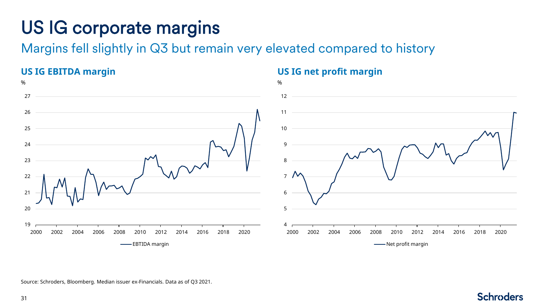## US IG corporate margins

Margins fell slightly in Q3 but remain very elevated compared to history



Source: Schroders, Bloomberg. Median issuer ex-Financials. Data as of Q3 2021.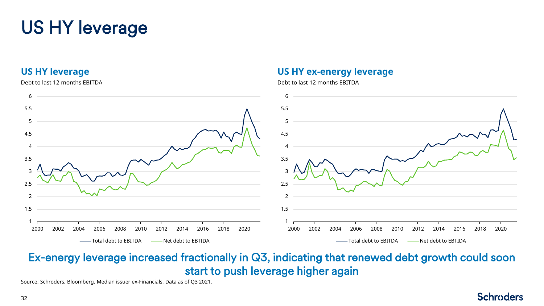## US HY leverage

### **US HY leverage**

#### Debt to last 12 months EBITDA



**US HY ex-energy leverage**

Debt to last 12 months EBITDA

## Ex-energy leverage increased fractionally in Q3, indicating that renewed debt growth could soon start to push leverage higher again

Source: Schroders, Bloomberg. Median issuer ex-Financials. Data as of Q3 2021.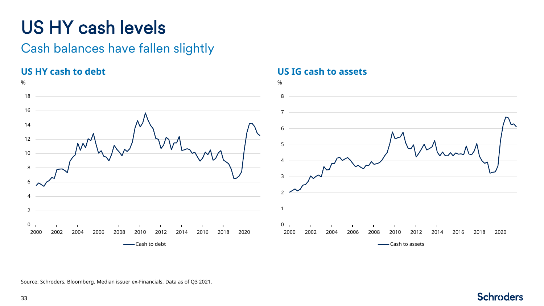## US HY cash levels

## Cash balances have fallen slightly

## **US HY cash to debt**



### **US IG cash to assets**



**Schroders** 

Source: Schroders, Bloomberg. Median issuer ex-Financials. Data as of Q3 2021.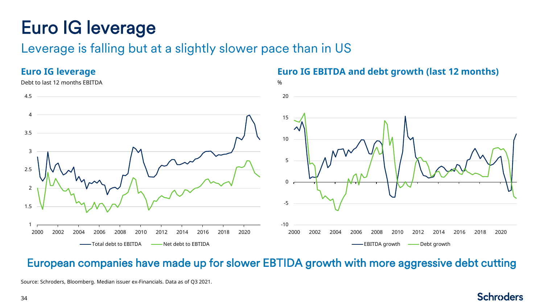## Euro IG leverage

## Leverage is falling but at a slightly slower pace than in US

### **Euro IG leverage**



### **Euro IG EBITDA and debt growth (last 12 months)**

## European companies have made up for slower EBTIDA growth with more aggressive debt cutting

Source: Schroders, Bloomberg. Median issuer ex-Financials. Data as of Q3 2021.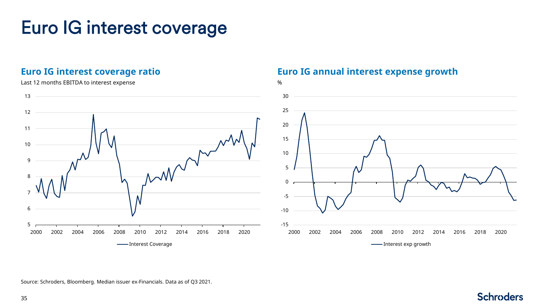## Euro IG interest coverage

### **Euro IG interest coverage ratio**

#### Last 12 months EBITDA to interest expense measurements of the state of the state of the state of the state of the state of the state of the state of the state of the state of the state of the state of the state of the stat



### **Euro IG annual interest expense growth**



Source: Schroders, Bloomberg. Median issuer ex-Financials. Data as of Q3 2021.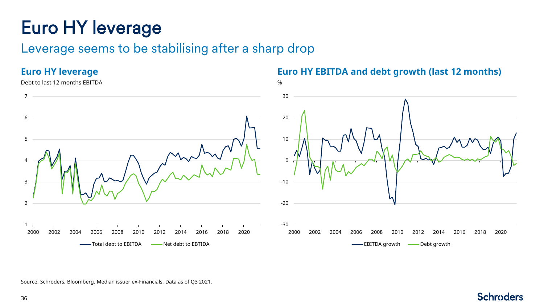## Euro HY leverage

## Leverage seems to be stabilising after a sharp drop

### **Euro HY leverage**

#### Debt to last 12 months EBITDA %



### **Euro HY EBITDA and debt growth (last 12 months)**



Source: Schroders, Bloomberg. Median issuer ex-Financials. Data as of Q3 2021.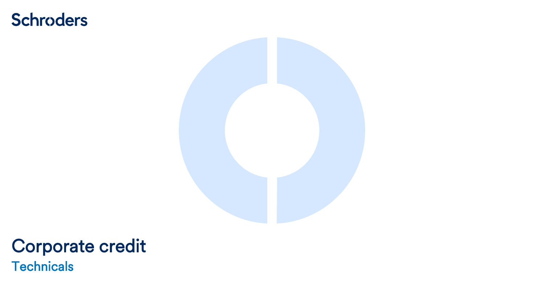## <span id="page-36-0"></span>**Schroders**



# Corporate credit

**Technicals**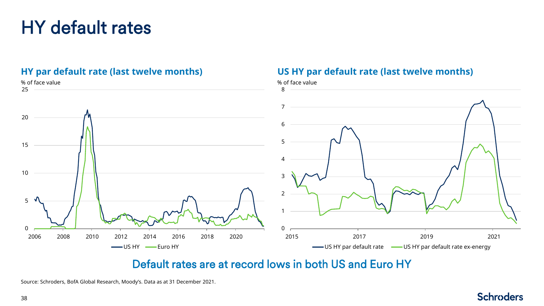## HY default rates



**US HY par default rate (last twelve months)**

### **HY par default rate (last twelve months)**

## Default rates are at record lows in both US and Euro HY

Source: Schroders, BofA Global Research, Moody's. Data as at 31 December 2021.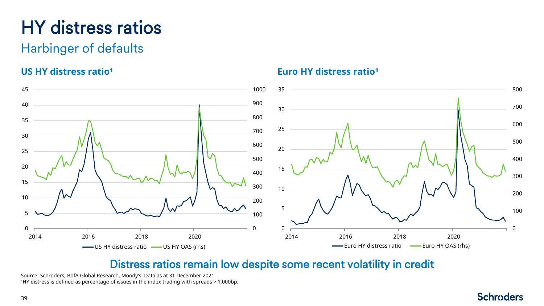## HY distress ratios

## Harbinger of defaults

## **US HY distress ratio<sup>1</sup>**



**Euro HY distress ratio<sup>1</sup>** 

## Distress ratios remain low despite some recent volatility in credit

Source: Schroders, BofA Global Research, Moody's. Data as at 31 December 2021. <sup>1</sup>HY distress is defined as percentage of issues in the index trading with spreads > 1,000bp.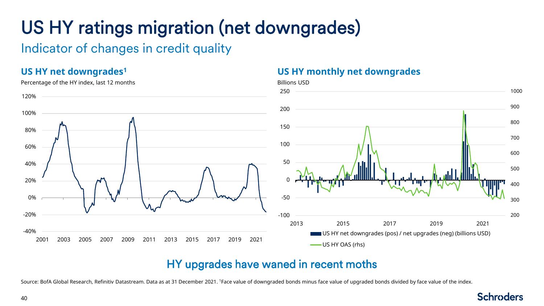# US HY ratings migration (net downgrades)

Indicator of changes in credit quality

## **US HY net downgrades<sup>1</sup>**



#### Percentage of the HY index, last 12 months

### **US HY monthly net downgrades**



## HY upgrades have waned in recent moths

Source: BofA Global Research, Refinitiv Datastream. Data as at 31 December 2021. <sup>1</sup>Face value of downgraded bonds minus face value of upgraded bonds divided by face value of the index.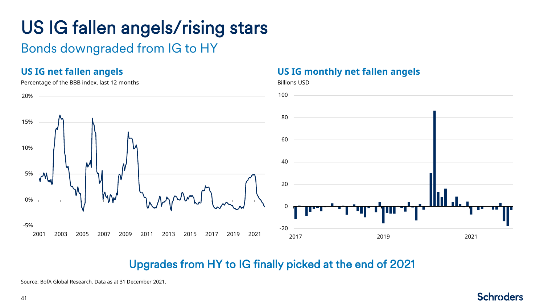# US IG fallen angels/rising stars

## Bonds downgraded from IG to HY

### **US IG net fallen angels**

#### Percentage of the BBB index, last 12 months Billions USD Billions USD



**US IG monthly net fallen angels**

## Upgrades from HY to IG finally picked at the end of 2021

Source: BofA Global Research. Data as at 31 December 2021.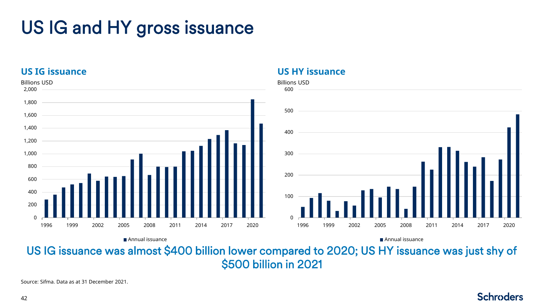## US IG and HY gross issuance

### **US IG issuance**



**US HY issuance**

US IG issuance was almost \$400 billion lower compared to 2020; US HY issuance was just shy of \$500 billion in 2021

Source: Sifma. Data as at 31 December 2021.

#### 42

```
Schroders
```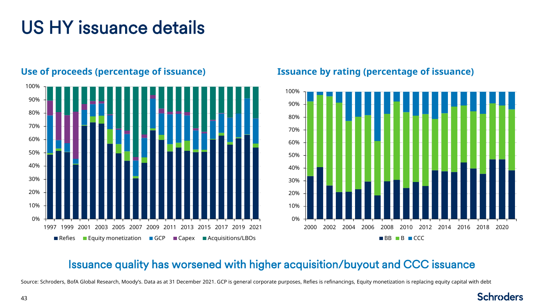## US HY issuance details



### **Use of proceeds (percentage of issuance)**

### **Issuance by rating (percentage of issuance)**



## Issuance quality has worsened with higher acquisition/buyout and CCC issuance

Source: Schroders, BofA Global Research, Moody's. Data as at 31 December 2021. GCP is general corporate purposes, Refies is refinancings, Equity monetization is replacing equity capital with debt

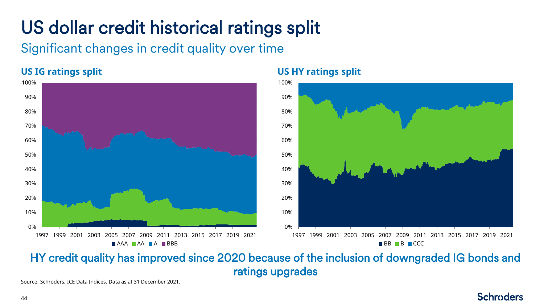# US dollar credit historical ratings split

Significant changes in credit quality over time

## **US IG ratings split**



### **US HY ratings split**



**Schroders** 

## HY credit quality has improved since 2020 because of the inclusion of downgraded IG bonds and ratings upgrades

Source: Schroders, ICE Data Indices. Data as at 31 December 2021.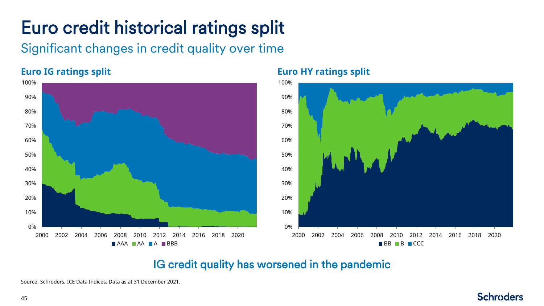# Euro credit historical ratings split

Significant changes in credit quality over time

## **Euro IG ratings split**



## **Euro HY ratings split**



**Schroders** 

## IG credit quality has worsened in the pandemic

Source: Schroders, ICE Data Indices. Data as at 31 December 2021.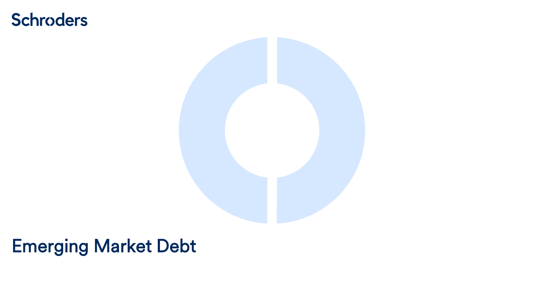## <span id="page-45-0"></span>**Schroders**



## Emerging Market Debt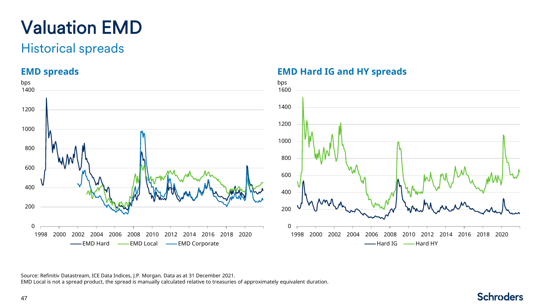# Valuation EMD

## Historical spreads

### **EMD spreads**



### **EMD Hard IG and HY spreads**



Source: Refinitiv Datastream, ICE Data Indices, J.P. Morgan. Data as at 31 December 2021. EMD Local is not a spread product, the spread is manually calculated relative to treasuries of approximately equivalent duration.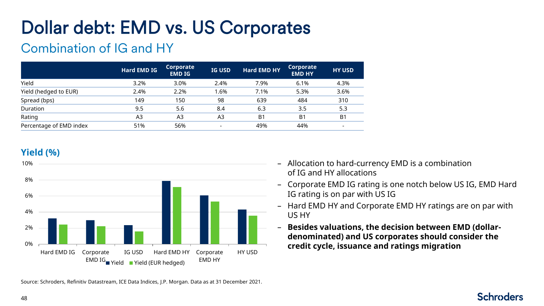# Dollar debt: EMD vs. US Corporates

## Combination of IG and HY

|                         | <b>Hard EMD IG</b> | Corporate<br><b>EMD IG</b> | <b>IG USD</b>            | <b>Hard EMD HY</b> | Corporate<br><b>EMD HY</b> | <b>HY USD</b>  |
|-------------------------|--------------------|----------------------------|--------------------------|--------------------|----------------------------|----------------|
| Yield                   | 3.2%               | 3.0%                       | 2.4%                     | 7.9%               | 6.1%                       | 4.3%           |
| Yield (hedged to EUR)   | 2.4%               | 2.2%                       | .6%                      | 7.1%               | 5.3%                       | 3.6%           |
| Spread (bps)            | 149                | 150                        | 98                       | 639                | 484                        | 310            |
| Duration                | 9.5                | 5.6                        | 8.4                      | 6.3                | 3.5                        | 5.3            |
| Rating                  | A3                 | A3                         | A3                       | B <sub>1</sub>     | B <sub>1</sub>             | B <sub>1</sub> |
| Percentage of EMD index | 51%                | 56%                        | $\overline{\phantom{a}}$ | 49%                | 44%                        |                |

### **Yield (%)**



Source: Schroders, Refinitiv Datastream, ICE Data Indices, J.P. Morgan. Data as at 31 December 2021.

- Allocation to hard-currency EMD is a combination of IG and HY allocations
- Corporate EMD IG rating is one notch below US IG, EMD Hard IG rating is on par with US IG
- Hard EMD HY and Corporate EMD HY ratings are on par with US HY
- **Besides valuations, the decision between EMD (dollardenominated) and US corporates should consider the**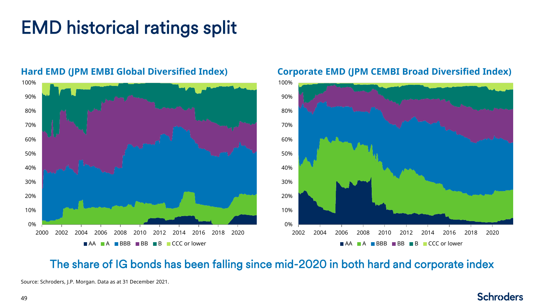## EMD historical ratings split



#### **Hard EMD (JPM EMBI Global Diversified Index)**

**Corporate EMD (JPM CEMBI Broad Diversified Index)**



**Schroders** 

## The share of IG bonds has been falling since mid-2020 in both hard and corporate index

Source: Schroders, J.P. Morgan. Data as at 31 December 2021.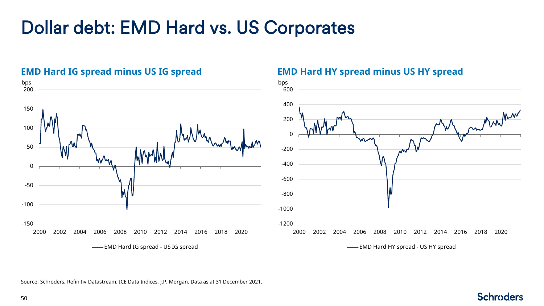## Dollar debt: EMD Hard vs. US Corporates



### **EMD Hard IG spread minus US IG spread**

#### **EMD Hard HY spread minus US HY spread**



Source: Schroders, Refinitiv Datastream, ICE Data Indices, J.P. Morgan. Data as at 31 December 2021.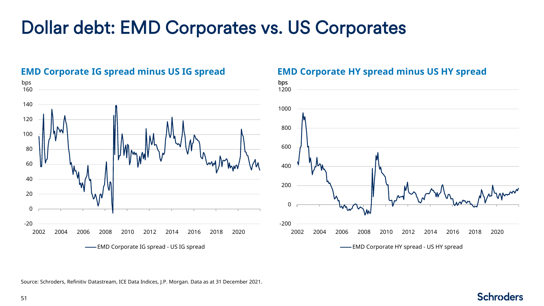## Dollar debt: EMD Corporates vs. US Corporates



#### **EMD Corporate IG spread minus US IG spread**

#### **EMD Corporate HY spread minus US HY spread**



Source: Schroders, Refinitiv Datastream, ICE Data Indices, J.P. Morgan. Data as at 31 December 2021.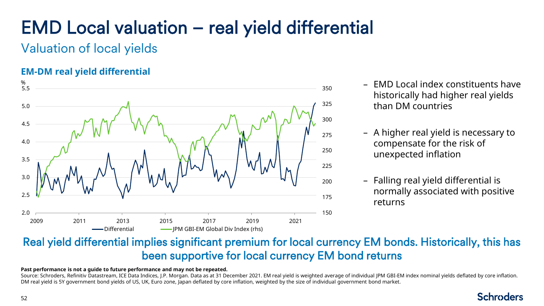# EMD Local valuation – real yield differential

Valuation of local yields

## **EM-DM real yield differential**



- EMD Local index constituents have historically had higher real yields than DM countries
- A higher real yield is necessary to compensate for the risk of unexpected inflation
- Falling real yield differential is normally associated with positive returns

## Real yield differential implies significant premium for local currency EM bonds. Historically, this has been supportive for local currency EM bond returns

#### **Past performance is not a guide to future performance and may not be repeated.**

Source: Schroders, Refinitiv Datastream, ICE Data Indices, J.P. Morgan. Data as at 31 December 2021. EM real yield is weighted average of individual JPM GBI-EM index nominal yields deflated by core inflation. DM real yield is 5Y government bond yields of US, UK, Euro zone, Japan deflated by core inflation, weighted by the size of individual government bond market.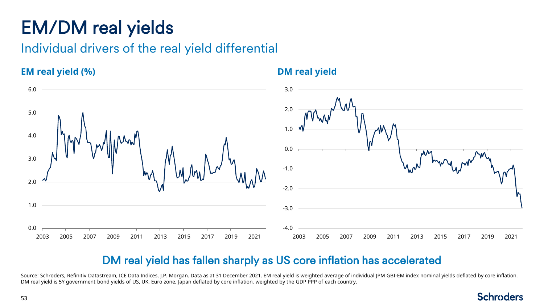## EM/DM real yields

Individual drivers of the real yield differential

### **EM real yield (%)**



**DM real yield**

## DM real yield has fallen sharply as US core inflation has accelerated

Source: Schroders, Refinitiv Datastream, ICE Data Indices, I.P. Morgan. Data as at 31 December 2021. EM real yield is weighted average of individual JPM GBI-EM index nominal yields deflated by core inflation. DM real yield is 5Y government bond yields of US, UK, Euro zone, Japan deflated by core inflation, weighted by the GDP PPP of each country.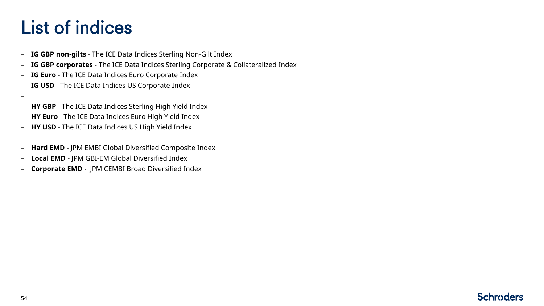## List of indices

- **IG GBP non-gilts** The ICE Data Indices Sterling Non-Gilt Index
- **IG GBP corporates**  The ICE Data Indices Sterling Corporate & Collateralized Index
- **IG Euro** The ICE Data Indices Euro Corporate Index
- **IG USD** The ICE Data Indices US Corporate Index
- –
- **HY GBP** The ICE Data Indices Sterling High Yield Index
- **HY Euro** The ICE Data Indices Euro High Yield Index
- **HY USD** The ICE Data Indices US High Yield Index
- –
- **Hard EMD** JPM EMBI Global Diversified Composite Index
- **Local EMD** JPM GBI-EM Global Diversified Index
- **Corporate EMD** JPM CEMBI Broad Diversified Index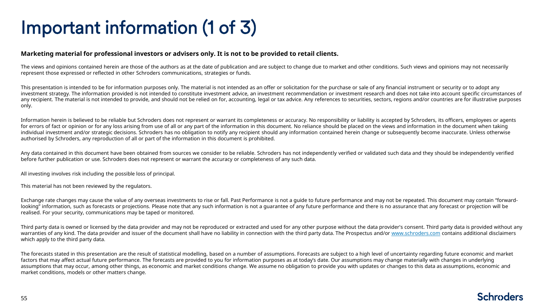## Important information (1 of 3)

#### **Marketing material for professional investors or advisers only. It is not to be provided to retail clients.**

The views and opinions contained herein are those of the authors as at the date of publication and are subject to change due to market and other conditions. Such views and opinions may not necessarily represent those expressed or reflected in other Schroders communications, strategies or funds.

This presentation is intended to be for information purposes only. The material is not intended as an offer or solicitation for the purchase or sale of any financial instrument or security or to adopt any investment strategy. The information provided is not intended to constitute investment advice, an investment recommendation or investment research and does not take into account specific circumstances of any recipient. The material is not intended to provide, and should not be relied on for, accounting, legal or tax advice. Any references to securities, sectors, regions and/or countries are for illustrative purposes only.

Information herein is believed to be reliable but Schroders does not represent or warrant its completeness or accuracy. No responsibility or liability is accepted by Schroders, its officers, employees or agents for errors of fact or opinion or for any loss arising from use of all or any part of the information in this document. No reliance should be placed on the views and information in the document when taking individual investment and/or strategic decisions. Schroders has no obligation to notify any recipient should any information contained herein change or subsequently become inaccurate. Unless otherwise authorised by Schroders, any reproduction of all or part of the information in this document is prohibited.

Any data contained in this document have been obtained from sources we consider to be reliable. Schroders has not independently verified or validated such data and they should be independently verified before further publication or use. Schroders does not represent or warrant the accuracy or completeness of any such data.

All investing involves risk including the possible loss of principal.

This material has not been reviewed by the regulators.

Exchange rate changes may cause the value of any overseas investments to rise or fall. Past Performance is not a guide to future performance and may not be repeated. This document may contain "forwardlooking" information, such as forecasts or projections. Please note that any such information is not a quarantee of any future performance and there is no assurance that any forecast or projection will be realised. For your security, communications may be taped or monitored.

Third party data is owned or licensed by the data provider and may not be reproduced or extracted and used for any other purpose without the data provider's consent. Third party data is provided without any warranties of any kind. The data provider and issuer of the document shall have no liability in connection with the third party data. The Prospectus and/or [www.schroders.com](http://www.schroders.com/) contains additional disclaimers which apply to the third party data.

The forecasts stated in this presentation are the result of statistical modelling, based on a number of assumptions. Forecasts are subject to a high level of uncertainty regarding future economic and market factors that may affect actual future performance. The forecasts are provided to you for information purposes as at today's date. Our assumptions may change materially with changes in underlying assumptions that may occur, among other things, as economic and market conditions change. We assume no obligation to provide you with updates or changes to this data as assumptions, economic and market conditions, models or other matters change.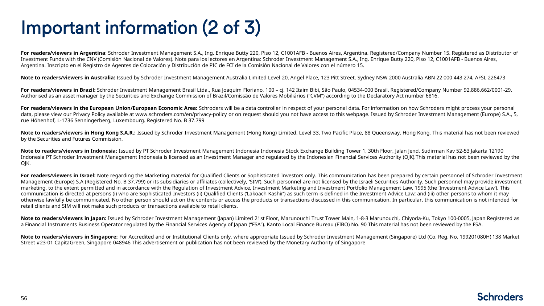## Important information (2 of 3)

For readers/viewers in Argentina: Schroder Investment Management S.A., Ing. Enrique Butty 220, Piso 12, C1001AFB - Buenos Aires, Argentina. Registered/Company Number 15. Registered as Distributor of Investment Funds with the CNV (Comisión Nacional de Valores). Nota para los lectores en Argentina: Schroder Investment Management S.A., Ing. Enrique Butty 220, Piso 12, C1001AFB - Buenos Aires, Argentina. Inscripto en el Registro de Agentes de Colocación y Distribución de PIC de FCI de la Comisión Nacional de Valores con el número 15.

**Note to readers/viewers in Australia:** Issued by Schroder Investment Management Australia Limited Level 20, Angel Place, 123 Pitt Street, Sydney NSW 2000 Australia ABN 22 000 443 274, AFSL 226473

For readers/viewers in Brazil: Schroder Investment Management Brasil Ltda., Rua Joaquim Floriano, 100 - cj. 142 Itaim Bibi, São Paulo, 04534-000 Brasil. Registered/Company Number 92.886.662/0001-29. Authorised as an asset manager by the Securities and Exchange Commission of Brazil/Comissão de Valores Mobiliários ("CVM") according to the Declaratory Act number 6816.

For readers/viewers in the European Union/European Economic Area: Schroders will be a data controller in respect of your personal data. For information on how Schroders might process your personal data, please view our Privacy Policy available at www.schroders.com/en/privacy-policy or on request should you not have access to this webpage. Issued by Schroder Investment Management (Europe) S.A., 5, rue Höhenhof, L-1736 Senningerberg, Luxembourg. Registered No. B 37.799

Note to readers/viewers in Hong Kong S.A.R.: Issued by Schroder Investment Management (Hong Kong) Limited. Level 33, Two Pacific Place, 88 Queensway, Hong Kong. This material has not been reviewed by the Securities and Futures Commission.

**Note to readers/viewers in Indonesia:** Issued by PT Schroder Investment Management Indonesia Indonesia Stock Exchange Building Tower 1, 30th Floor, Jalan Jend. Sudirman Kav 52-53 Jakarta 12190 Indonesia PT Schroder Investment Management Indonesia is licensed as an Investment Manager and regulated by the Indonesian Financial Services Authority (OJK).This material has not been reviewed by the OJK.

For readers/viewers in Israel: Note regarding the Marketing material for Qualified Clients or Sophisticated Investors only. This communication has been prepared by certain personnel of Schroder Investment Management (Europe) S.A (Registered No. B 37.799) or its subsidiaries or affiliates (collectively, 'SIM'). Such personnel are not licensed by the Israeli Securities Authority. Such personnel may provide investment marketing, to the extent permitted and in accordance with the Regulation of Investment Advice, Investment Marketing and Investment Portfolio Management Law, 1995 (the 'Investment Advice Law'). This communication is directed at persons (i) who are Sophisticated Investors (ii) Qualified Clients ('Lakoach Kashir') as such term is defined in the Investment Advice Law; and (iii) other persons to whom it may otherwise lawfully be communicated. No other person should act on the contents or access the products or transactions discussed in this communication. In particular, this communication is not intended for retail clients and SIM will not make such products or transactions available to retail clients.

**Note to readers/viewers in Japan:** Issued by Schroder Investment Management (Japan) Limited 21st Floor, Marunouchi Trust Tower Main, 1-8-3 Marunouchi, Chiyoda-Ku, Tokyo 100-0005, Japan Registered as a Financial Instruments Business Operator regulated by the Financial Services Agency of Japan ("FSA"). Kanto Local Finance Bureau (FIBO) No. 90 This material has not been reviewed by the FSA.

Note to readers/viewers in Singapore: For Accredited and or Institutional Clients only, where appropriate Issued by Schroder Investment Management (Singapore) Ltd (Co. Reg. No. 199201080H) 138 Market Street #23-01 CapitaGreen, Singapore 048946 This advertisement or publication has not been reviewed by the Monetary Authority of Singapore